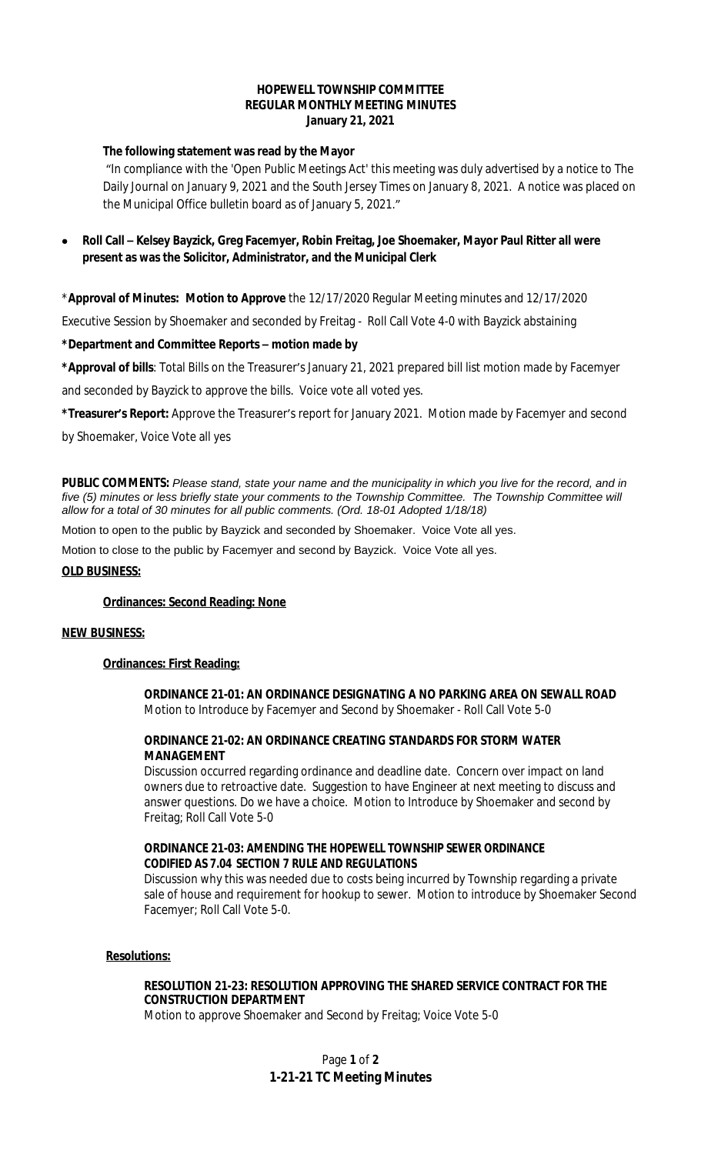## **HOPEWELL TOWNSHIP COMMITTEE REGULAR MONTHLY MEETING MINUTES January 21, 2021**

# **The following statement was read by the Mayor**

"In compliance with the 'Open Public Meetings Act' this meeting was duly advertised by a notice to The Daily Journal on January 9, 2021 and the South Jersey Times on January 8, 2021. A notice was placed on the Municipal Office bulletin board as of January 5, 2021."

# **Roll Call – Kelsey Bayzick, Greg Facemyer, Robin Freitag, Joe Shoemaker, Mayor Paul Ritter all were present as was the Solicitor, Administrator, and the Municipal Clerk**

\***Approval of Minutes: Motion to Approve** the 12/17/2020 Regular Meeting minutes and 12/17/2020

Executive Session by Shoemaker and seconded by Freitag - Roll Call Vote 4-0 with Bayzick abstaining

## **\*Department and Committee Reports – motion made by**

**\*Approval of bills**: Total Bills on the Treasurer's January 21, 2021 prepared bill list motion made by Facemyer

and seconded by Bayzick to approve the bills. Voice vote all voted yes.

**\*Treasurer's Report:** Approve the Treasurer's report for January 2021. Motion made by Facemyer and second

by Shoemaker, Voice Vote all yes

**PUBLIC COMMENTS:** *Please stand, state your name and the municipality in which you live for the record, and in five (5) minutes or less briefly state your comments to the Township Committee. The Township Committee will allow for a total of 30 minutes for all public comments. (Ord. 18-01 Adopted 1/18/18)*

Motion to open to the public by Bayzick and seconded by Shoemaker. Voice Vote all yes.

Motion to close to the public by Facemyer and second by Bayzick. Voice Vote all yes.

#### **OLD BUSINESS:**

#### **Ordinances: Second Reading: None**

#### **NEW BUSINESS:**

# **Ordinances: First Reading:**

**ORDINANCE 21-01: AN ORDINANCE DESIGNATING A NO PARKING AREA ON SEWALL ROAD** Motion to Introduce by Facemyer and Second by Shoemaker - Roll Call Vote 5-0

## **ORDINANCE 21-02: AN ORDINANCE CREATING STANDARDS FOR STORM WATER MANAGEMENT**

Discussion occurred regarding ordinance and deadline date. Concern over impact on land owners due to retroactive date. Suggestion to have Engineer at next meeting to discuss and answer questions. Do we have a choice. Motion to Introduce by Shoemaker and second by Freitag; Roll Call Vote 5-0

## **ORDINANCE 21-03: AMENDING THE HOPEWELL TOWNSHIP SEWER ORDINANCE CODIFIED AS 7.04 SECTION 7 RULE AND REGULATIONS**

Discussion why this was needed due to costs being incurred by Township regarding a private sale of house and requirement for hookup to sewer. Motion to introduce by Shoemaker Second Facemyer; Roll Call Vote 5-0.

#### **Resolutions:**

## **RESOLUTION 21-23: RESOLUTION APPROVING THE SHARED SERVICE CONTRACT FOR THE CONSTRUCTION DEPARTMENT**

Motion to approve Shoemaker and Second by Freitag; Voice Vote 5-0

# Page **1** of **2 1-21-21 TC Meeting Minutes**